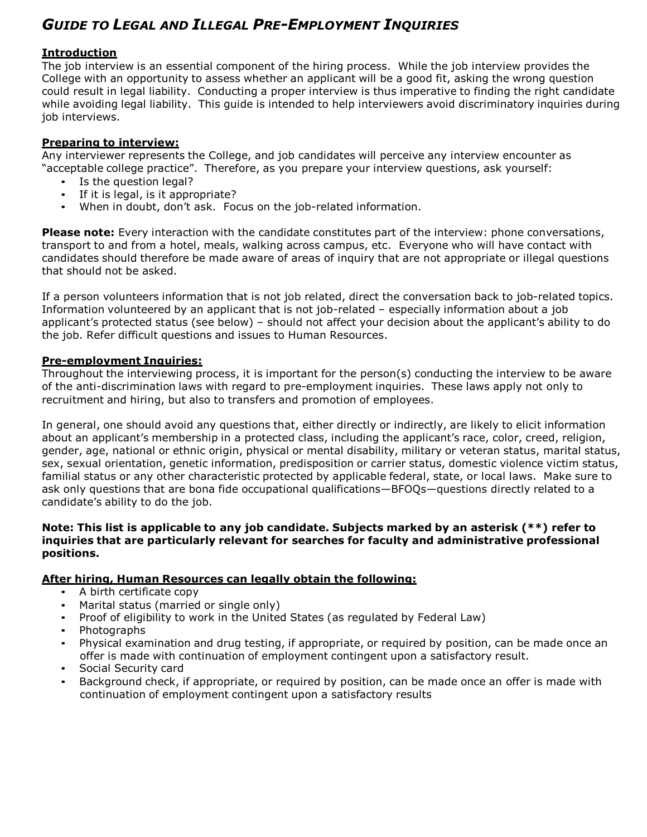# *GUIDE TO LEGAL AND ILLEGAL PRE-EMPLOYMENT INQUIRIES*

#### **Introduction**

The job interview is an essential component of the hiring process. While the job interview provides the College with an opportunity to assess whether an applicant will be a good fit, asking the wrong question could result in legal liability. Conducting a proper interview is thus imperative to finding the right candidate while avoiding legal liability. This guide is intended to help interviewers avoid discriminatory inquiries during job interviews.

### **Preparing to interview:**

Any interviewer represents the College, and job candidates will perceive any interview encounter as "acceptable college practice". Therefore, as you prepare your interview questions, ask yourself:

- Is the question legal?
- If it is legal, is it appropriate?
- When in doubt, don't ask. Focus on the job-related information.

**Please note:** Every interaction with the candidate constitutes part of the interview: phone conversations, transport to and from a hotel, meals, walking across campus, etc. Everyone who will have contact with candidates should therefore be made aware of areas of inquiry that are not appropriate or illegal questions that should not be asked.

If a person volunteers information that is not job related, direct the conversation back to job-related topics. Information volunteered by an applicant that is not job-related – especially information about a job applicant's protected status (see below) – should not affect your decision about the applicant's ability to do the job. Refer difficult questions and issues to Human Resources.

#### **Pre-employment Inquiries:**

Throughout the interviewing process, it is important for the person(s) conducting the interview to be aware of the anti-discrimination laws with regard to pre-employment inquiries. These laws apply not only to recruitment and hiring, but also to transfers and promotion of employees.

In general, one should avoid any questions that, either directly or indirectly, are likely to elicit information about an applicant's membership in a protected class, including the applicant's race, color, creed, religion, gender, age, national or ethnic origin, physical or mental disability, military or veteran status, marital status, sex, sexual orientation, genetic information, predisposition or carrier status, domestic violence victim status, familial status or any other characteristic protected by applicable federal, state, or local laws. Make sure to ask only questions that are bona fide occupational qualifications—BFOQs—questions directly related to a candidate's ability to do the job.

#### **Note: This list is applicable to any job candidate. Subjects marked by an asterisk (\*\*) refer to inquiries that are particularly relevant for searches for faculty and administrative professional positions.**

#### **After hiring, Human Resources can legally obtain the following:**

- A birth certificate copy
- Marital status (married or single only)
- Proof of eligibility to work in the United States (as regulated by Federal Law)
- Photographs
- Physical examination and drug testing, if appropriate, or required by position, can be made once an offer is made with continuation of employment contingent upon a satisfactory result.
- Social Security card
- Background check, if appropriate, or required by position, can be made once an offer is made with continuation of employment contingent upon a satisfactory results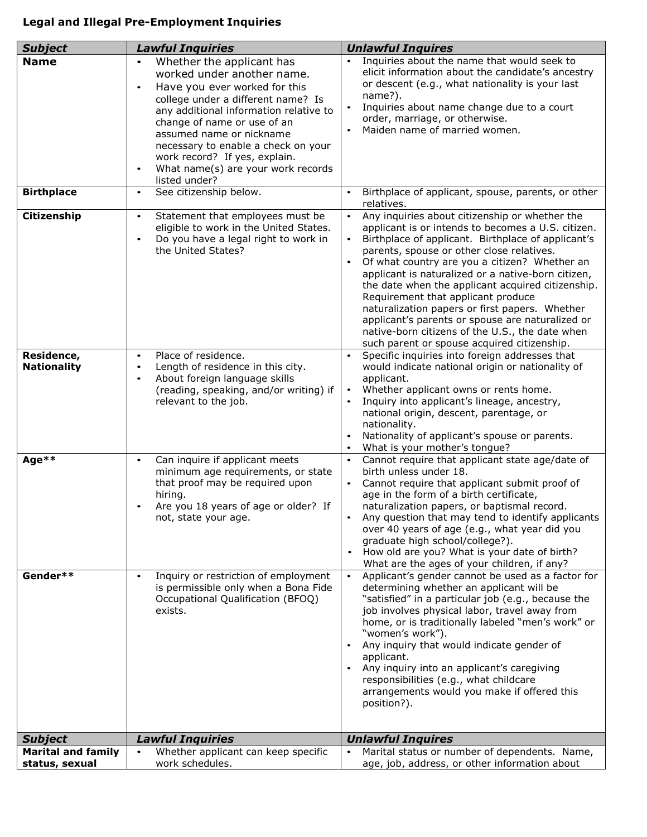## **Legal and Illegal Pre-Employment Inquiries**

| <b>Subject</b>                              | <b>Lawful Inquiries</b>                                                                                                                                                                                                                                                                                                                                                                      | <b>Unlawful Inquires</b>                                                                                                                                                                                                                                                                                                                                                                                                                                                                                                                                                                                                                                 |
|---------------------------------------------|----------------------------------------------------------------------------------------------------------------------------------------------------------------------------------------------------------------------------------------------------------------------------------------------------------------------------------------------------------------------------------------------|----------------------------------------------------------------------------------------------------------------------------------------------------------------------------------------------------------------------------------------------------------------------------------------------------------------------------------------------------------------------------------------------------------------------------------------------------------------------------------------------------------------------------------------------------------------------------------------------------------------------------------------------------------|
| <b>Name</b>                                 | Whether the applicant has<br>$\bullet$<br>worked under another name.<br>Have you ever worked for this<br>$\bullet$<br>college under a different name? Is<br>any additional information relative to<br>change of name or use of an<br>assumed name or nickname<br>necessary to enable a check on your<br>work record? If yes, explain.<br>What name(s) are your work records<br>listed under? | Inquiries about the name that would seek to<br>elicit information about the candidate's ancestry<br>or descent (e.g., what nationality is your last<br>name?).<br>Inquiries about name change due to a court<br>$\bullet$<br>order, marriage, or otherwise.<br>Maiden name of married women.                                                                                                                                                                                                                                                                                                                                                             |
| <b>Birthplace</b>                           | See citizenship below.<br>$\bullet$                                                                                                                                                                                                                                                                                                                                                          | Birthplace of applicant, spouse, parents, or other<br>$\bullet$<br>relatives.                                                                                                                                                                                                                                                                                                                                                                                                                                                                                                                                                                            |
| Citizenship                                 | Statement that employees must be<br>$\bullet$<br>eligible to work in the United States.<br>Do you have a legal right to work in<br>the United States?                                                                                                                                                                                                                                        | Any inquiries about citizenship or whether the<br>$\bullet$<br>applicant is or intends to becomes a U.S. citizen.<br>Birthplace of applicant. Birthplace of applicant's<br>$\bullet$<br>parents, spouse or other close relatives.<br>Of what country are you a citizen? Whether an<br>$\bullet$<br>applicant is naturalized or a native-born citizen,<br>the date when the applicant acquired citizenship.<br>Requirement that applicant produce<br>naturalization papers or first papers. Whether<br>applicant's parents or spouse are naturalized or<br>native-born citizens of the U.S., the date when<br>such parent or spouse acquired citizenship. |
| Residence,<br><b>Nationality</b>            | Place of residence.<br>$\bullet$<br>Length of residence in this city.<br>$\bullet$<br>About foreign language skills<br>$\bullet$<br>(reading, speaking, and/or writing) if<br>relevant to the job.                                                                                                                                                                                           | Specific inquiries into foreign addresses that<br>$\bullet$<br>would indicate national origin or nationality of<br>applicant.<br>Whether applicant owns or rents home.<br>$\bullet$<br>Inquiry into applicant's lineage, ancestry,<br>$\bullet$<br>national origin, descent, parentage, or<br>nationality.<br>Nationality of applicant's spouse or parents.<br>What is your mother's tongue?<br>$\bullet$                                                                                                                                                                                                                                                |
| Age**                                       | Can inquire if applicant meets<br>$\bullet$<br>minimum age requirements, or state<br>that proof may be required upon<br>hiring.<br>Are you 18 years of age or older? If<br>not, state your age.                                                                                                                                                                                              | Cannot require that applicant state age/date of<br>$\bullet$<br>birth unless under 18.<br>Cannot require that applicant submit proof of<br>$\bullet$<br>age in the form of a birth certificate,<br>naturalization papers, or baptismal record.<br>Any question that may tend to identify applicants<br>over 40 years of age (e.g., what year did you<br>graduate high school/college?).<br>How old are you? What is your date of birth?<br>$\bullet$<br>What are the ages of your children, if any?                                                                                                                                                      |
| Gender**                                    | Inquiry or restriction of employment<br>is permissible only when a Bona Fide<br>Occupational Qualification (BFOQ)<br>exists.                                                                                                                                                                                                                                                                 | Applicant's gender cannot be used as a factor for<br>$\bullet$<br>determining whether an applicant will be<br>"satisfied" in a particular job (e.g., because the<br>job involves physical labor, travel away from<br>home, or is traditionally labeled "men's work" or<br>"women's work").<br>Any inquiry that would indicate gender of<br>$\bullet$<br>applicant.<br>Any inquiry into an applicant's caregiving<br>responsibilities (e.g., what childcare<br>arrangements would you make if offered this<br>position?).                                                                                                                                 |
| <b>Subject</b>                              | <b>Lawful Inquiries</b>                                                                                                                                                                                                                                                                                                                                                                      | <b>Unlawful Inquires</b>                                                                                                                                                                                                                                                                                                                                                                                                                                                                                                                                                                                                                                 |
| <b>Marital and family</b><br>status, sexual | Whether applicant can keep specific<br>work schedules.                                                                                                                                                                                                                                                                                                                                       | Marital status or number of dependents. Name,<br>age, job, address, or other information about                                                                                                                                                                                                                                                                                                                                                                                                                                                                                                                                                           |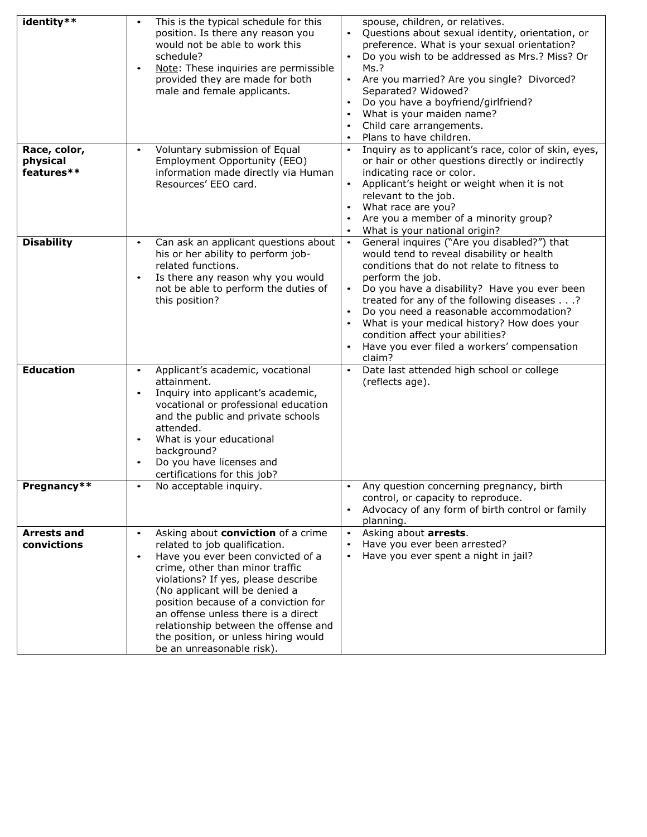| identity**                             | This is the typical schedule for this<br>$\bullet$<br>position. Is there any reason you<br>would not be able to work this<br>schedule?<br>Note: These inquiries are permissible<br>٠<br>provided they are made for both<br>male and female applicants.                                                                                                                                                                                     | spouse, children, or relatives.<br>Questions about sexual identity, orientation, or<br>$\bullet$<br>preference. What is your sexual orientation?<br>Do you wish to be addressed as Mrs.? Miss? Or<br>Ms.?<br>Are you married? Are you single? Divorced?<br>Separated? Widowed?<br>Do you have a boyfriend/girlfriend?<br>What is your maiden name?<br>Child care arrangements.<br>Plans to have children.                                                     |
|----------------------------------------|--------------------------------------------------------------------------------------------------------------------------------------------------------------------------------------------------------------------------------------------------------------------------------------------------------------------------------------------------------------------------------------------------------------------------------------------|---------------------------------------------------------------------------------------------------------------------------------------------------------------------------------------------------------------------------------------------------------------------------------------------------------------------------------------------------------------------------------------------------------------------------------------------------------------|
| Race, color,<br>physical<br>features** | Voluntary submission of Equal<br>$\bullet$<br>Employment Opportunity (EEO)<br>information made directly via Human<br>Resources' EEO card.                                                                                                                                                                                                                                                                                                  | Inquiry as to applicant's race, color of skin, eyes,<br>$\bullet$<br>or hair or other questions directly or indirectly<br>indicating race or color.<br>Applicant's height or weight when it is not<br>relevant to the job.<br>What race are you?<br>Are you a member of a minority group?<br>What is your national origin?<br>$\bullet$                                                                                                                       |
| <b>Disability</b>                      | Can ask an applicant questions about<br>$\bullet$<br>his or her ability to perform job-<br>related functions.<br>Is there any reason why you would<br>$\bullet$<br>not be able to perform the duties of<br>this position?                                                                                                                                                                                                                  | General inquires ("Are you disabled?") that<br>$\bullet$<br>would tend to reveal disability or health<br>conditions that do not relate to fitness to<br>perform the job.<br>Do you have a disability? Have you ever been<br>treated for any of the following diseases?<br>Do you need a reasonable accommodation?<br>What is your medical history? How does your<br>condition affect your abilities?<br>Have you ever filed a workers' compensation<br>claim? |
| <b>Education</b>                       | Applicant's academic, vocational<br>$\bullet$<br>attainment.<br>Inquiry into applicant's academic,<br>٠<br>vocational or professional education<br>and the public and private schools<br>attended.<br>What is your educational<br>$\bullet$<br>background?<br>Do you have licenses and<br>certifications for this job?                                                                                                                     | Date last attended high school or college<br>$\bullet$<br>(reflects age).                                                                                                                                                                                                                                                                                                                                                                                     |
| Pregnancy**                            | No acceptable inquiry.                                                                                                                                                                                                                                                                                                                                                                                                                     | Any question concerning pregnancy, birth<br>control, or capacity to reproduce.<br>Advocacy of any form of birth control or family<br>$\bullet$<br>planning.                                                                                                                                                                                                                                                                                                   |
| <b>Arrests and</b><br>convictions      | Asking about conviction of a crime<br>$\bullet$<br>related to job qualification.<br>Have you ever been convicted of a<br>$\bullet$<br>crime, other than minor traffic<br>violations? If yes, please describe<br>(No applicant will be denied a<br>position because of a conviction for<br>an offense unless there is a direct<br>relationship between the offense and<br>the position, or unless hiring would<br>be an unreasonable risk). | Asking about arrests.<br>$\bullet$<br>Have you ever been arrested?<br>Have you ever spent a night in jail?                                                                                                                                                                                                                                                                                                                                                    |